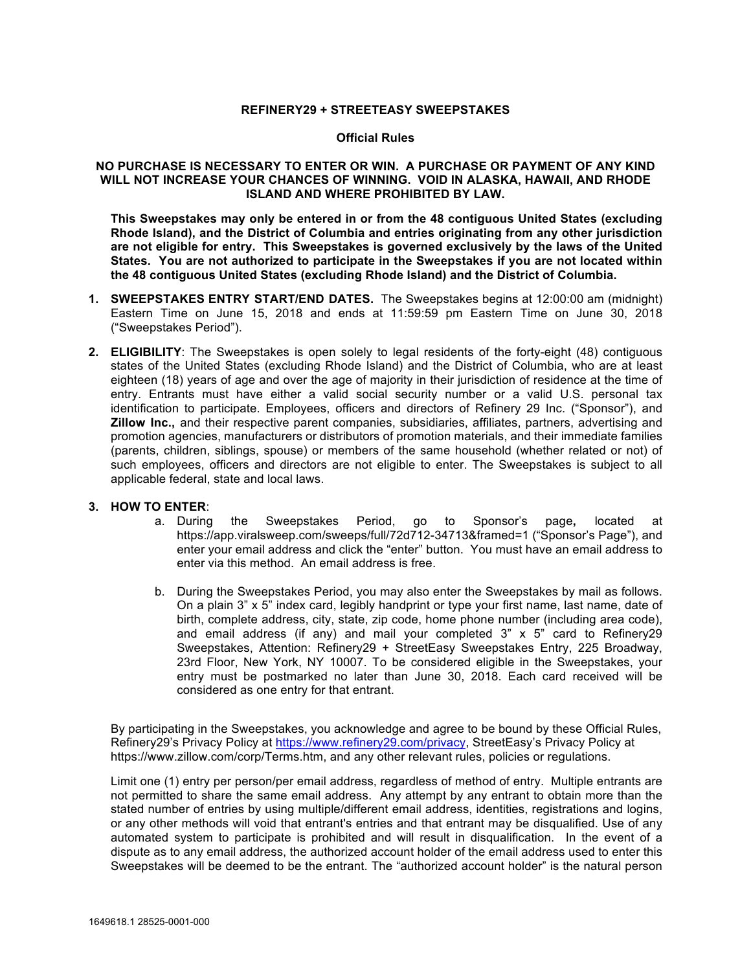## **REFINERY29 + STREETEASY SWEEPSTAKES**

## **Official Rules**

## **NO PURCHASE IS NECESSARY TO ENTER OR WIN. A PURCHASE OR PAYMENT OF ANY KIND WILL NOT INCREASE YOUR CHANCES OF WINNING. VOID IN ALASKA, HAWAII, AND RHODE ISLAND AND WHERE PROHIBITED BY LAW.**

**This Sweepstakes may only be entered in or from the 48 contiguous United States (excluding Rhode Island), and the District of Columbia and entries originating from any other jurisdiction are not eligible for entry. This Sweepstakes is governed exclusively by the laws of the United States. You are not authorized to participate in the Sweepstakes if you are not located within the 48 contiguous United States (excluding Rhode Island) and the District of Columbia.** 

- **1. SWEEPSTAKES ENTRY START/END DATES.** The Sweepstakes begins at 12:00:00 am (midnight) Eastern Time on June 15, 2018 and ends at 11:59:59 pm Eastern Time on June 30, 2018 ("Sweepstakes Period").
- **2. ELIGIBILITY**: The Sweepstakes is open solely to legal residents of the forty-eight (48) contiguous states of the United States (excluding Rhode Island) and the District of Columbia, who are at least eighteen (18) years of age and over the age of majority in their jurisdiction of residence at the time of entry. Entrants must have either a valid social security number or a valid U.S. personal tax identification to participate. Employees, officers and directors of Refinery 29 Inc. ("Sponsor"), and **Zillow Inc.,** and their respective parent companies, subsidiaries, affiliates, partners, advertising and promotion agencies, manufacturers or distributors of promotion materials, and their immediate families (parents, children, siblings, spouse) or members of the same household (whether related or not) of such employees, officers and directors are not eligible to enter. The Sweepstakes is subject to all applicable federal, state and local laws.

## **3. HOW TO ENTER**:

- a. During the Sweepstakes Period, go to Sponsor's page**,** located at https://app.viralsweep.com/sweeps/full/72d712-34713&framed=1 ("Sponsor's Page"), and enter your email address and click the "enter" button. You must have an email address to enter via this method. An email address is free.
- b. During the Sweepstakes Period, you may also enter the Sweepstakes by mail as follows. On a plain 3" x 5" index card, legibly handprint or type your first name, last name, date of birth, complete address, city, state, zip code, home phone number (including area code), and email address (if any) and mail your completed 3" x 5" card to Refinery29 Sweepstakes, Attention: Refinery29 + StreetEasy Sweepstakes Entry, 225 Broadway, 23rd Floor, New York, NY 10007. To be considered eligible in the Sweepstakes, your entry must be postmarked no later than June 30, 2018. Each card received will be considered as one entry for that entrant.

By participating in the Sweepstakes, you acknowledge and agree to be bound by these Official Rules, Refinery29's Privacy Policy at https://www.refinery29.com/privacy, StreetEasy's Privacy Policy at https://www.zillow.com/corp/Terms.htm, and any other relevant rules, policies or regulations.

Limit one (1) entry per person/per email address, regardless of method of entry. Multiple entrants are not permitted to share the same email address. Any attempt by any entrant to obtain more than the stated number of entries by using multiple/different email address, identities, registrations and logins, or any other methods will void that entrant's entries and that entrant may be disqualified. Use of any automated system to participate is prohibited and will result in disqualification. In the event of a dispute as to any email address, the authorized account holder of the email address used to enter this Sweepstakes will be deemed to be the entrant. The "authorized account holder" is the natural person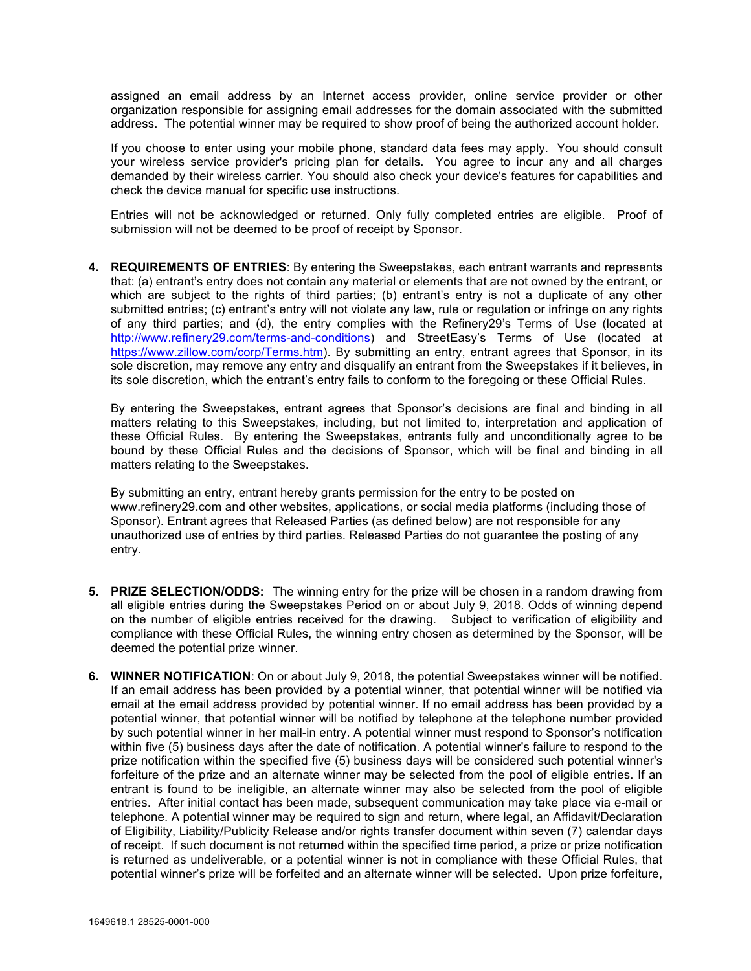assigned an email address by an Internet access provider, online service provider or other organization responsible for assigning email addresses for the domain associated with the submitted address. The potential winner may be required to show proof of being the authorized account holder.

If you choose to enter using your mobile phone, standard data fees may apply. You should consult your wireless service provider's pricing plan for details. You agree to incur any and all charges demanded by their wireless carrier. You should also check your device's features for capabilities and check the device manual for specific use instructions.

Entries will not be acknowledged or returned. Only fully completed entries are eligible. Proof of submission will not be deemed to be proof of receipt by Sponsor.

**4. REQUIREMENTS OF ENTRIES**: By entering the Sweepstakes, each entrant warrants and represents that: (a) entrant's entry does not contain any material or elements that are not owned by the entrant, or which are subject to the rights of third parties; (b) entrant's entry is not a duplicate of any other submitted entries; (c) entrant's entry will not violate any law, rule or regulation or infringe on any rights of any third parties; and (d), the entry complies with the Refinery29's Terms of Use (located at http://www.refinery29.com/terms-and-conditions) and StreetEasy's Terms of Use (located at https://www.zillow.com/corp/Terms.htm). By submitting an entry, entrant agrees that Sponsor, in its sole discretion, may remove any entry and disqualify an entrant from the Sweepstakes if it believes, in its sole discretion, which the entrant's entry fails to conform to the foregoing or these Official Rules.

By entering the Sweepstakes, entrant agrees that Sponsor's decisions are final and binding in all matters relating to this Sweepstakes, including, but not limited to, interpretation and application of these Official Rules. By entering the Sweepstakes, entrants fully and unconditionally agree to be bound by these Official Rules and the decisions of Sponsor, which will be final and binding in all matters relating to the Sweepstakes.

By submitting an entry, entrant hereby grants permission for the entry to be posted on www.refinery29.com and other websites, applications, or social media platforms (including those of Sponsor). Entrant agrees that Released Parties (as defined below) are not responsible for any unauthorized use of entries by third parties. Released Parties do not guarantee the posting of any entry.

- **5. PRIZE SELECTION/ODDS:** The winning entry for the prize will be chosen in a random drawing from all eligible entries during the Sweepstakes Period on or about July 9, 2018. Odds of winning depend on the number of eligible entries received for the drawing. Subject to verification of eligibility and compliance with these Official Rules, the winning entry chosen as determined by the Sponsor, will be deemed the potential prize winner.
- **6. WINNER NOTIFICATION**: On or about July 9, 2018, the potential Sweepstakes winner will be notified. If an email address has been provided by a potential winner, that potential winner will be notified via email at the email address provided by potential winner. If no email address has been provided by a potential winner, that potential winner will be notified by telephone at the telephone number provided by such potential winner in her mail-in entry. A potential winner must respond to Sponsor's notification within five (5) business days after the date of notification. A potential winner's failure to respond to the prize notification within the specified five (5) business days will be considered such potential winner's forfeiture of the prize and an alternate winner may be selected from the pool of eligible entries. If an entrant is found to be ineligible, an alternate winner may also be selected from the pool of eligible entries. After initial contact has been made, subsequent communication may take place via e-mail or telephone. A potential winner may be required to sign and return, where legal, an Affidavit/Declaration of Eligibility, Liability/Publicity Release and/or rights transfer document within seven (7) calendar days of receipt. If such document is not returned within the specified time period, a prize or prize notification is returned as undeliverable, or a potential winner is not in compliance with these Official Rules, that potential winner's prize will be forfeited and an alternate winner will be selected. Upon prize forfeiture,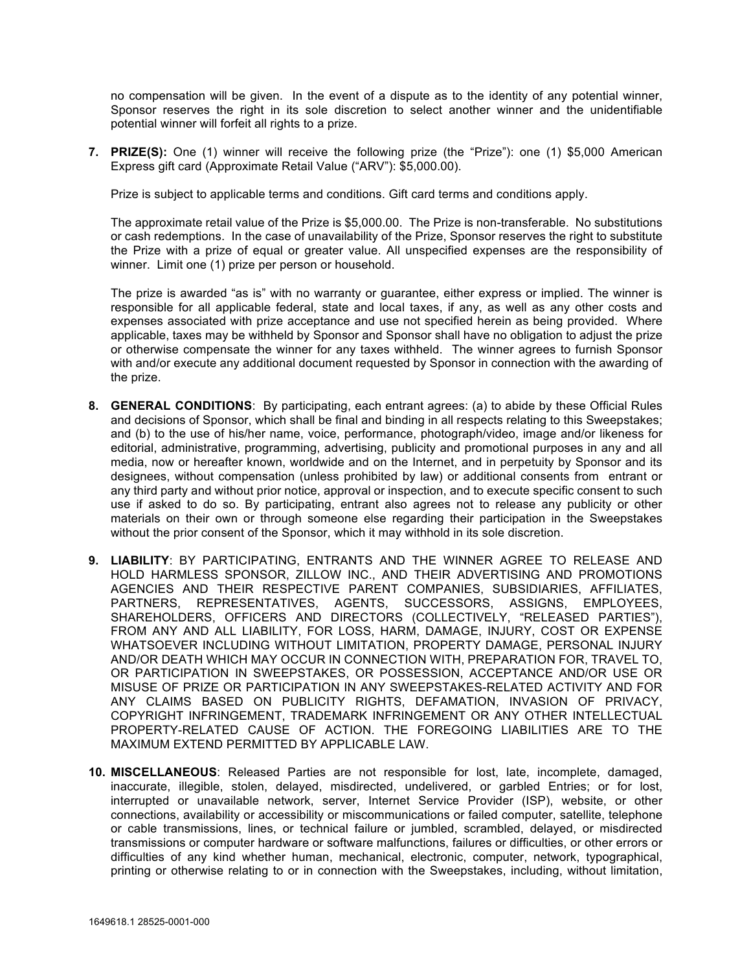no compensation will be given. In the event of a dispute as to the identity of any potential winner, Sponsor reserves the right in its sole discretion to select another winner and the unidentifiable potential winner will forfeit all rights to a prize.

**7. PRIZE(S):** One (1) winner will receive the following prize (the "Prize"): one (1) \$5,000 American Express gift card (Approximate Retail Value ("ARV"): \$5,000.00).

Prize is subject to applicable terms and conditions. Gift card terms and conditions apply.

The approximate retail value of the Prize is \$5,000.00. The Prize is non-transferable. No substitutions or cash redemptions. In the case of unavailability of the Prize, Sponsor reserves the right to substitute the Prize with a prize of equal or greater value. All unspecified expenses are the responsibility of winner. Limit one (1) prize per person or household.

The prize is awarded "as is" with no warranty or guarantee, either express or implied. The winner is responsible for all applicable federal, state and local taxes, if any, as well as any other costs and expenses associated with prize acceptance and use not specified herein as being provided. Where applicable, taxes may be withheld by Sponsor and Sponsor shall have no obligation to adjust the prize or otherwise compensate the winner for any taxes withheld. The winner agrees to furnish Sponsor with and/or execute any additional document requested by Sponsor in connection with the awarding of the prize.

- **8. GENERAL CONDITIONS**: By participating, each entrant agrees: (a) to abide by these Official Rules and decisions of Sponsor, which shall be final and binding in all respects relating to this Sweepstakes; and (b) to the use of his/her name, voice, performance, photograph/video, image and/or likeness for editorial, administrative, programming, advertising, publicity and promotional purposes in any and all media, now or hereafter known, worldwide and on the Internet, and in perpetuity by Sponsor and its designees, without compensation (unless prohibited by law) or additional consents from entrant or any third party and without prior notice, approval or inspection, and to execute specific consent to such use if asked to do so. By participating, entrant also agrees not to release any publicity or other materials on their own or through someone else regarding their participation in the Sweepstakes without the prior consent of the Sponsor, which it may withhold in its sole discretion.
- **9. LIABILITY**: BY PARTICIPATING, ENTRANTS AND THE WINNER AGREE TO RELEASE AND HOLD HARMLESS SPONSOR, ZILLOW INC., AND THEIR ADVERTISING AND PROMOTIONS AGENCIES AND THEIR RESPECTIVE PARENT COMPANIES, SUBSIDIARIES, AFFILIATES, PARTNERS, REPRESENTATIVES, AGENTS, SUCCESSORS, ASSIGNS, EMPLOYEES, SHAREHOLDERS, OFFICERS AND DIRECTORS (COLLECTIVELY, "RELEASED PARTIES"), FROM ANY AND ALL LIABILITY, FOR LOSS, HARM, DAMAGE, INJURY, COST OR EXPENSE WHATSOEVER INCLUDING WITHOUT LIMITATION, PROPERTY DAMAGE, PERSONAL INJURY AND/OR DEATH WHICH MAY OCCUR IN CONNECTION WITH, PREPARATION FOR, TRAVEL TO, OR PARTICIPATION IN SWEEPSTAKES, OR POSSESSION, ACCEPTANCE AND/OR USE OR MISUSE OF PRIZE OR PARTICIPATION IN ANY SWEEPSTAKES-RELATED ACTIVITY AND FOR ANY CLAIMS BASED ON PUBLICITY RIGHTS, DEFAMATION, INVASION OF PRIVACY, COPYRIGHT INFRINGEMENT, TRADEMARK INFRINGEMENT OR ANY OTHER INTELLECTUAL PROPERTY-RELATED CAUSE OF ACTION. THE FOREGOING LIABILITIES ARE TO THE MAXIMUM EXTEND PERMITTED BY APPLICABLE LAW.
- **10. MISCELLANEOUS**: Released Parties are not responsible for lost, late, incomplete, damaged, inaccurate, illegible, stolen, delayed, misdirected, undelivered, or garbled Entries; or for lost, interrupted or unavailable network, server, Internet Service Provider (ISP), website, or other connections, availability or accessibility or miscommunications or failed computer, satellite, telephone or cable transmissions, lines, or technical failure or jumbled, scrambled, delayed, or misdirected transmissions or computer hardware or software malfunctions, failures or difficulties, or other errors or difficulties of any kind whether human, mechanical, electronic, computer, network, typographical, printing or otherwise relating to or in connection with the Sweepstakes, including, without limitation,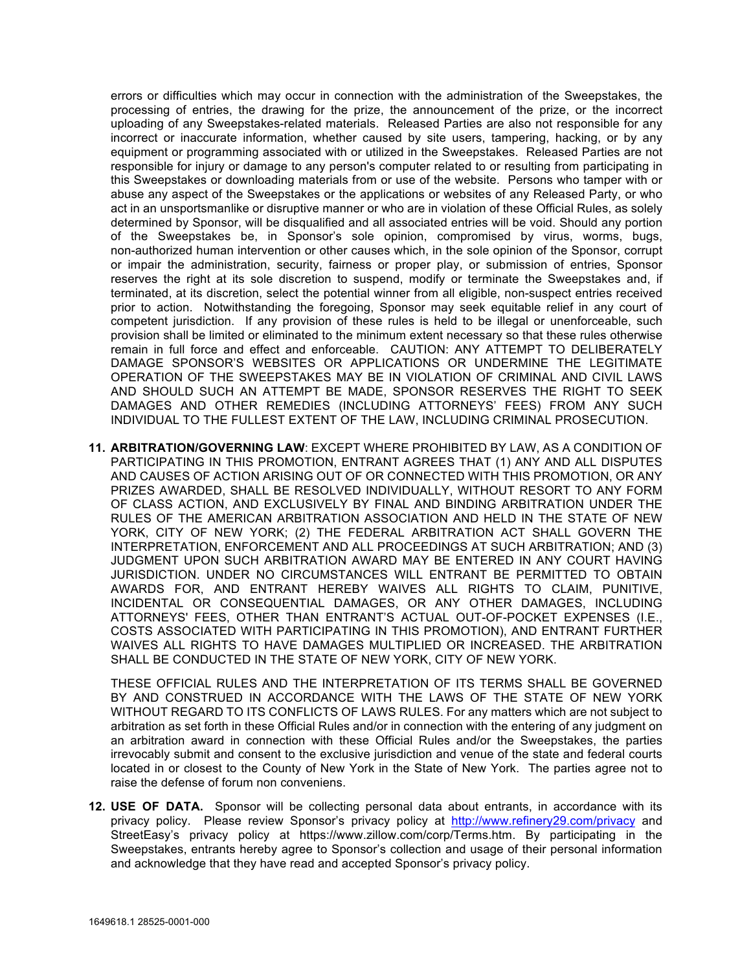errors or difficulties which may occur in connection with the administration of the Sweepstakes, the processing of entries, the drawing for the prize, the announcement of the prize, or the incorrect uploading of any Sweepstakes-related materials. Released Parties are also not responsible for any incorrect or inaccurate information, whether caused by site users, tampering, hacking, or by any equipment or programming associated with or utilized in the Sweepstakes. Released Parties are not responsible for injury or damage to any person's computer related to or resulting from participating in this Sweepstakes or downloading materials from or use of the website. Persons who tamper with or abuse any aspect of the Sweepstakes or the applications or websites of any Released Party, or who act in an unsportsmanlike or disruptive manner or who are in violation of these Official Rules, as solely determined by Sponsor, will be disqualified and all associated entries will be void. Should any portion of the Sweepstakes be, in Sponsor's sole opinion, compromised by virus, worms, bugs, non-authorized human intervention or other causes which, in the sole opinion of the Sponsor, corrupt or impair the administration, security, fairness or proper play, or submission of entries, Sponsor reserves the right at its sole discretion to suspend, modify or terminate the Sweepstakes and, if terminated, at its discretion, select the potential winner from all eligible, non-suspect entries received prior to action. Notwithstanding the foregoing, Sponsor may seek equitable relief in any court of competent jurisdiction. If any provision of these rules is held to be illegal or unenforceable, such provision shall be limited or eliminated to the minimum extent necessary so that these rules otherwise remain in full force and effect and enforceable. CAUTION: ANY ATTEMPT TO DELIBERATELY DAMAGE SPONSOR'S WEBSITES OR APPLICATIONS OR UNDERMINE THE LEGITIMATE OPERATION OF THE SWEEPSTAKES MAY BE IN VIOLATION OF CRIMINAL AND CIVIL LAWS AND SHOULD SUCH AN ATTEMPT BE MADE, SPONSOR RESERVES THE RIGHT TO SEEK DAMAGES AND OTHER REMEDIES (INCLUDING ATTORNEYS' FEES) FROM ANY SUCH INDIVIDUAL TO THE FULLEST EXTENT OF THE LAW, INCLUDING CRIMINAL PROSECUTION.

**11. ARBITRATION/GOVERNING LAW**: EXCEPT WHERE PROHIBITED BY LAW, AS A CONDITION OF PARTICIPATING IN THIS PROMOTION, ENTRANT AGREES THAT (1) ANY AND ALL DISPUTES AND CAUSES OF ACTION ARISING OUT OF OR CONNECTED WITH THIS PROMOTION, OR ANY PRIZES AWARDED, SHALL BE RESOLVED INDIVIDUALLY, WITHOUT RESORT TO ANY FORM OF CLASS ACTION, AND EXCLUSIVELY BY FINAL AND BINDING ARBITRATION UNDER THE RULES OF THE AMERICAN ARBITRATION ASSOCIATION AND HELD IN THE STATE OF NEW YORK, CITY OF NEW YORK; (2) THE FEDERAL ARBITRATION ACT SHALL GOVERN THE INTERPRETATION, ENFORCEMENT AND ALL PROCEEDINGS AT SUCH ARBITRATION; AND (3) JUDGMENT UPON SUCH ARBITRATION AWARD MAY BE ENTERED IN ANY COURT HAVING JURISDICTION. UNDER NO CIRCUMSTANCES WILL ENTRANT BE PERMITTED TO OBTAIN AWARDS FOR, AND ENTRANT HEREBY WAIVES ALL RIGHTS TO CLAIM, PUNITIVE, INCIDENTAL OR CONSEQUENTIAL DAMAGES, OR ANY OTHER DAMAGES, INCLUDING ATTORNEYS' FEES, OTHER THAN ENTRANT'S ACTUAL OUT-OF-POCKET EXPENSES (I.E., COSTS ASSOCIATED WITH PARTICIPATING IN THIS PROMOTION), AND ENTRANT FURTHER WAIVES ALL RIGHTS TO HAVE DAMAGES MULTIPLIED OR INCREASED. THE ARBITRATION SHALL BE CONDUCTED IN THE STATE OF NEW YORK, CITY OF NEW YORK.

THESE OFFICIAL RULES AND THE INTERPRETATION OF ITS TERMS SHALL BE GOVERNED BY AND CONSTRUED IN ACCORDANCE WITH THE LAWS OF THE STATE OF NEW YORK WITHOUT REGARD TO ITS CONFLICTS OF LAWS RULES. For any matters which are not subject to arbitration as set forth in these Official Rules and/or in connection with the entering of any judgment on an arbitration award in connection with these Official Rules and/or the Sweepstakes, the parties irrevocably submit and consent to the exclusive jurisdiction and venue of the state and federal courts located in or closest to the County of New York in the State of New York. The parties agree not to raise the defense of forum non conveniens.

**12. USE OF DATA.** Sponsor will be collecting personal data about entrants, in accordance with its privacy policy. Please review Sponsor's privacy policy at http://www.refinery29.com/privacy and StreetEasy's privacy policy at https://www.zillow.com/corp/Terms.htm. By participating in the Sweepstakes, entrants hereby agree to Sponsor's collection and usage of their personal information and acknowledge that they have read and accepted Sponsor's privacy policy.